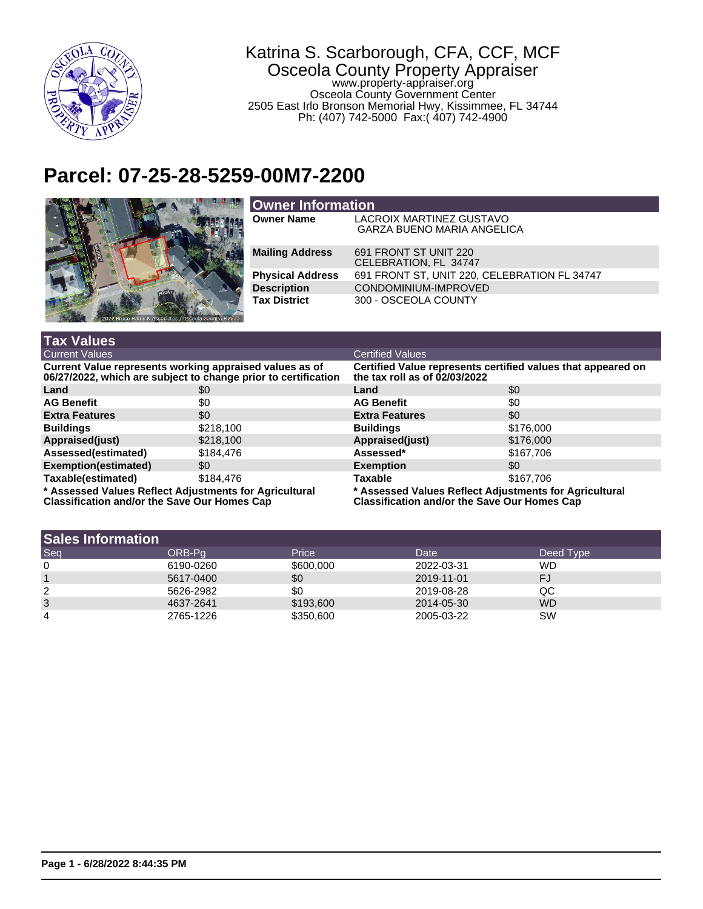

## Katrina S. Scarborough, CFA, CCF, MCF Osceola County Property Appraiser www.property-appraiser.org Osceola County Government Center 2505 East Irlo Bronson Memorial Hwy, Kissimmee, FL 34744 Ph: (407) 742-5000 Fax:( 407) 742-4900

## **Parcel: 07-25-28-5259-00M7-2200**



| <b>Owner Information</b> |                                                                      |  |  |
|--------------------------|----------------------------------------------------------------------|--|--|
| <b>Owner Name</b>        | <b>LACROIX MARTINEZ GUSTAVO</b><br><b>GARZA BUENO MARIA ANGELICA</b> |  |  |
| <b>Mailing Address</b>   | 691 FRONT ST UNIT 220<br>CELEBRATION, FL 34747                       |  |  |
| <b>Physical Address</b>  | 691 FRONT ST, UNIT 220, CELEBRATION FL 34747                         |  |  |
| <b>Description</b>       | CONDOMINIUM-IMPROVED                                                 |  |  |
| <b>Tax District</b>      | 300 - OSCEOLA COUNTY                                                 |  |  |

| <b>Tax Values</b>                                                                                                         |           |                                                                                                               |           |  |
|---------------------------------------------------------------------------------------------------------------------------|-----------|---------------------------------------------------------------------------------------------------------------|-----------|--|
| <b>Current Values</b>                                                                                                     |           | <b>Certified Values</b>                                                                                       |           |  |
| Current Value represents working appraised values as of<br>06/27/2022, which are subject to change prior to certification |           | Certified Value represents certified values that appeared on<br>the tax roll as of 02/03/2022                 |           |  |
| Land                                                                                                                      | \$0       | Land                                                                                                          | \$0       |  |
| <b>AG Benefit</b>                                                                                                         | \$0       | <b>AG Benefit</b>                                                                                             | \$0       |  |
| <b>Extra Features</b>                                                                                                     | \$0       | <b>Extra Features</b>                                                                                         | \$0       |  |
| <b>Buildings</b>                                                                                                          | \$218,100 | <b>Buildings</b>                                                                                              | \$176,000 |  |
| Appraised(just)                                                                                                           | \$218,100 | Appraised(just)                                                                                               | \$176,000 |  |
| Assessed(estimated)                                                                                                       | \$184.476 | Assessed*                                                                                                     | \$167,706 |  |
| <b>Exemption(estimated)</b>                                                                                               | \$0       | <b>Exemption</b>                                                                                              | \$0       |  |
| Taxable(estimated)                                                                                                        | \$184.476 | <b>Taxable</b>                                                                                                | \$167,706 |  |
| * Assessed Values Reflect Adjustments for Agricultural<br><b>Classification and/or the Save Our Homes Cap</b>             |           | * Assessed Values Reflect Adjustments for Agricultural<br><b>Classification and/or the Save Our Homes Cap</b> |           |  |

| <b>Sales Information</b> |           |           |            |           |
|--------------------------|-----------|-----------|------------|-----------|
| Seq                      | ORB-Pa    | Price     | Date       | Deed Type |
| 0                        | 6190-0260 | \$600,000 | 2022-03-31 | <b>WD</b> |
|                          | 5617-0400 | \$0       | 2019-11-01 | FJ        |
| 2                        | 5626-2982 | \$0       | 2019-08-28 | QC        |
| 3                        | 4637-2641 | \$193,600 | 2014-05-30 | <b>WD</b> |
| 4                        | 2765-1226 | \$350,600 | 2005-03-22 | SW        |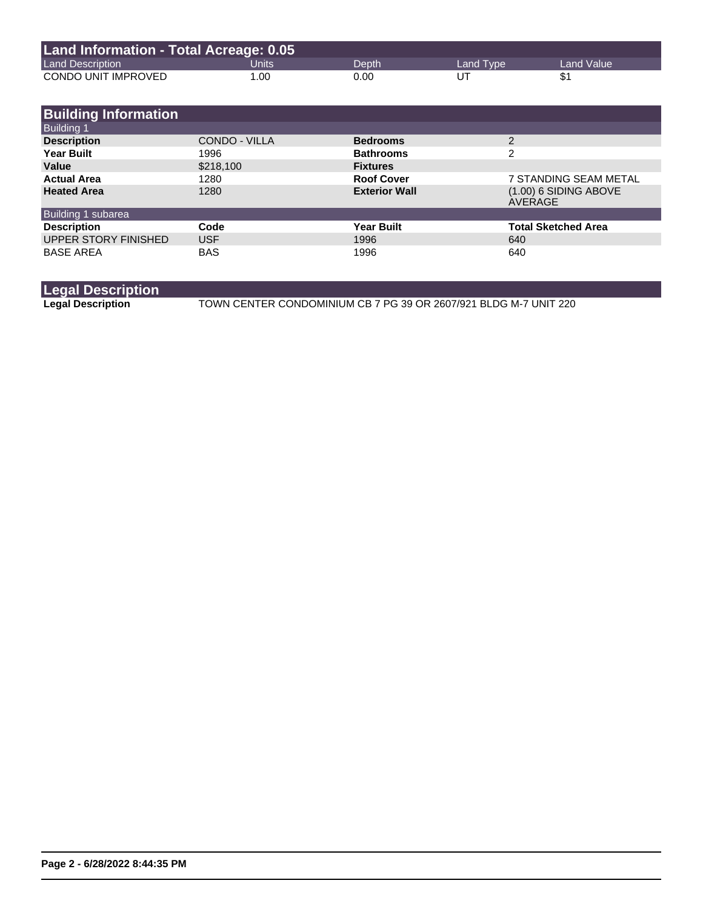| Land Information - Total Acreage: 0.05 |       |       |           |            |
|----------------------------------------|-------|-------|-----------|------------|
| <b>Land Description</b>                | Units | Depth | Land Type | Land Value |
| CONDO UNIT IMPROVED                    | 1.00  | 0.00  | UT        |            |

| <b>Building Information</b> |               |                      |                                    |
|-----------------------------|---------------|----------------------|------------------------------------|
| <b>Building 1</b>           |               |                      |                                    |
| <b>Description</b>          | CONDO - VILLA | <b>Bedrooms</b>      | 2                                  |
| <b>Year Built</b>           | 1996          | <b>Bathrooms</b>     | 2                                  |
| Value                       | \$218,100     | <b>Fixtures</b>      |                                    |
| <b>Actual Area</b>          | 1280          | <b>Roof Cover</b>    | 7 STANDING SEAM METAL              |
| <b>Heated Area</b>          | 1280          | <b>Exterior Wall</b> | $(1.00)$ 6 SIDING ABOVE<br>AVERAGE |
| Building 1 subarea          |               |                      |                                    |
| <b>Description</b>          | Code          | <b>Year Built</b>    | <b>Total Sketched Area</b>         |
| <b>UPPER STORY FINISHED</b> | <b>USF</b>    | 1996                 | 640                                |
| <b>BASE AREA</b>            | <b>BAS</b>    | 1996                 | 640                                |

**Legal Description**

**Legal Description** TOWN CENTER CONDOMINIUM CB 7 PG 39 OR 2607/921 BLDG M-7 UNIT 220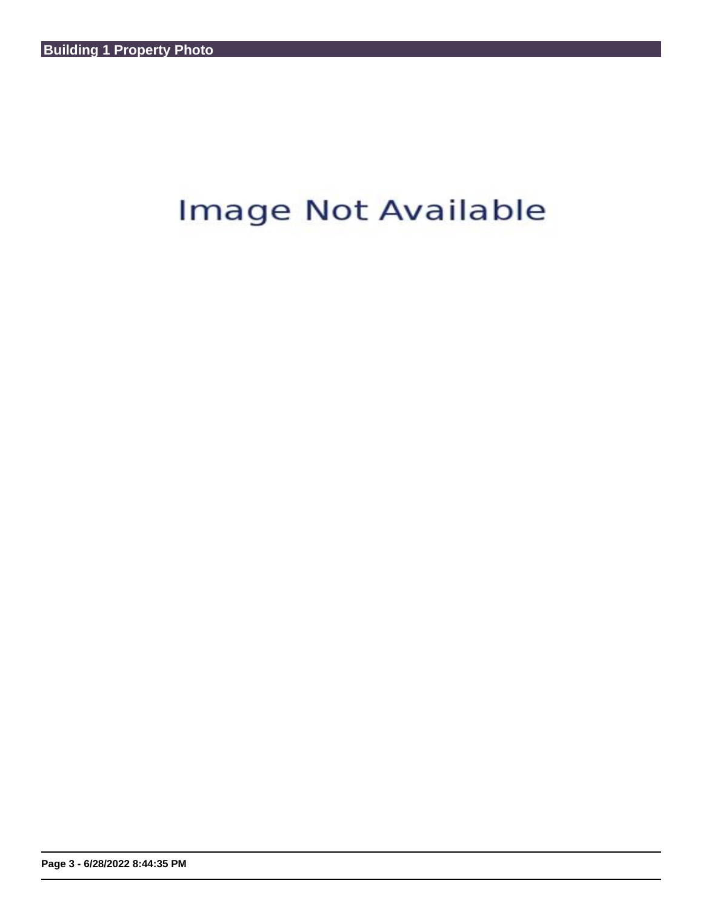## Image Not Available